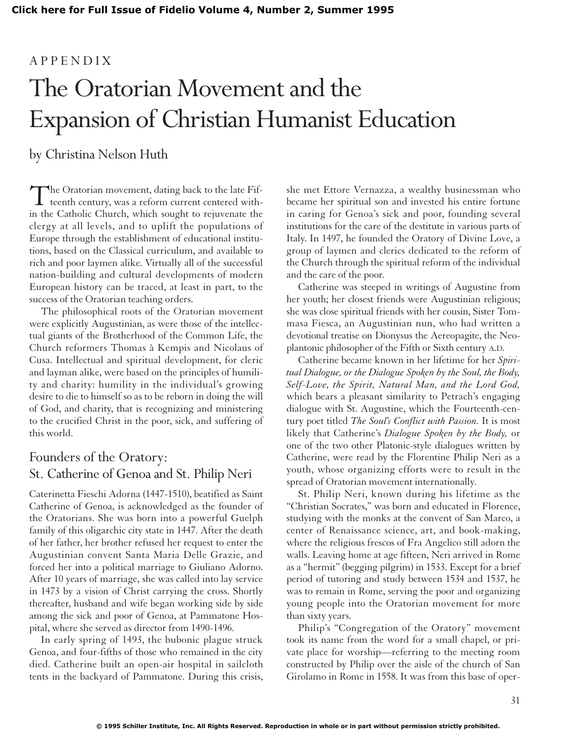## APPENDIX The Oratorian Movement and the Expansion of Christian Humanist Education

by Christina Nelson Huth

The Oratorian movement, dating back to the late Fif-<br>teenth century, was a reform current centered within the Catholic Church, which sought to rejuvenate the clergy at all levels, and to uplift the populations of Europe through the establishment of educational institutions, based on the Classical curriculum, and available to rich and poor laymen alike. Virtually all of the successful nation-building and cultural developments of modern European history can be traced, at least in part, to the success of the Oratorian teaching orders.

The philosophical roots of the Oratorian movement were explicitly Augustinian, as were those of the intellectual giants of the Brotherhood of the Common Life, the Church reformers Thomas à Kempis and Nicolaus of Cusa. Intellectual and spiritual development, for cleric and layman alike, were based on the principles of humility and charity: humility in the individual's growing desire to die to himself so as to be reborn in doing the will of God, and charity, that is recognizing and ministering to the crucified Christ in the poor, sick, and suffering of this world.

## Founders of the Oratory: St. Catherine of Genoa and St. Philip Neri

Caterinetta Fieschi Adorna (1447-1510), beatified as Saint Catherine of Genoa, is acknowledged as the founder of the Oratorians. She was born into a powerful Guelph family of this oligarchic city state in 1447. After the death of her father, her brother refused her request to enter the Augustinian convent Santa Maria Delle Grazie, and forced her into a political marriage to Giuliano Adorno. After 10 years of marriage, she was called into lay service in 1473 by a vision of Christ carrying the cross. Shortly thereafter, husband and wife began working side by side among the sick and poor of Genoa, at Pammatone Hospital, where she served as director from 1490-1496.

In early spring of 1493, the bubonic plague struck Genoa, and four-fifths of those who remained in the city died. Catherine built an open-air hospital in sailcloth tents in the backyard of Pammatone. During this crisis, she met Ettore Vernazza, a wealthy businessman who became her spiritual son and invested his entire fortune in caring for Genoa's sick and poor, founding several institutions for the care of the destitute in various parts of Italy. In 1497, he founded the Oratory of Divine Love, a group of laymen and clerics dedicated to the reform of the Church through the spiritual reform of the individual and the care of the poor.

Catherine was steeped in writings of Augustine from her youth; her closest friends were Augustinian religious; she was close spiritual friends with her cousin, Sister Tommasa Fiesca, an Augustinian nun, who had written a devotional treatise on Dionysus the Aereopagite, the Neoplantonic philosopher of the Fifth or Sixth century A.D.

Catherine became known in her lifetime for her *Spiritual Dialogue, or the Dialogue Spoken by the Soul, the Body, Self-Love, the Spirit, Natural Man, and the Lord God,* which bears a pleasant similarity to Petrach's engaging dialogue with St. Augustine, which the Fourteenth-century poet titled *The Soul's Conflict with Passion.* It is most likely that Catherine's *Dialogue Spoken by the Body,* or one of the two other Platonic-style dialogues written by Catherine, were read by the Florentine Philip Neri as a youth, whose organizing efforts were to result in the spread of Oratorian movement internationally.

St. Philip Neri, known during his lifetime as the "Christian Socrates," was born and educated in Florence, studying with the monks at the convent of San Marco, a center of Renaissance science, art, and book-making, where the religious frescos of Fra Angelico still adorn the walls. Leaving home at age fifteen, Neri arrived in Rome as a "hermit" (begging pilgrim) in 1533. Except for a brief period of tutoring and study between 1534 and 1537, he was to remain in Rome, serving the poor and organizing young people into the Oratorian movement for more than sixty years.

Philip's "Congregation of the Oratory" movement took its name from the word for a small chapel, or private place for worship—referring to the meeting room constructed by Philip over the aisle of the church of San Girolamo in Rome in 1558. It was from this base of oper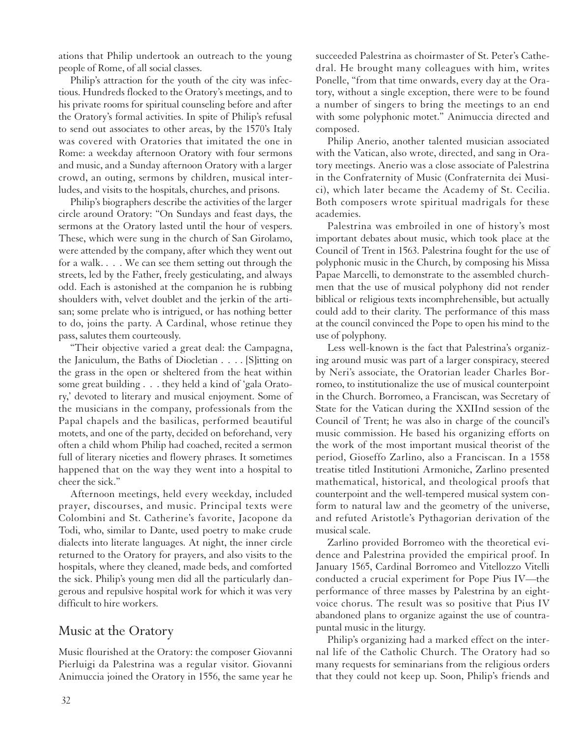ations that Philip undertook an outreach to the young people of Rome, of all social classes.

Philip's attraction for the youth of the city was infectious. Hundreds flocked to the Oratory's meetings, and to his private rooms for spiritual counseling before and after the Oratory's formal activities. In spite of Philip's refusal to send out associates to other areas, by the 1570's Italy was covered with Oratories that imitated the one in Rome: a weekday afternoon Oratory with four sermons and music, and a Sunday afternoon Oratory with a larger crowd, an outing, sermons by children, musical interludes, and visits to the hospitals, churches, and prisons.

Philip's biographers describe the activities of the larger circle around Oratory: "On Sundays and feast days, the sermons at the Oratory lasted until the hour of vespers. These, which were sung in the church of San Girolamo, were attended by the company, after which they went out for a walk. . . . We can see them setting out through the streets, led by the Father, freely gesticulating, and always odd. Each is astonished at the companion he is rubbing shoulders with, velvet doublet and the jerkin of the artisan; some prelate who is intrigued, or has nothing better to do, joins the party. A Cardinal, whose retinue they pass, salutes them courteously.

"Their objective varied a great deal: the Campagna, the Janiculum, the Baths of Diocletian . . . . [S]itting on the grass in the open or sheltered from the heat within some great building . . . they held a kind of 'gala Oratory,' devoted to literary and musical enjoyment. Some of the musicians in the company, professionals from the Papal chapels and the basilicas, performed beautiful motets, and one of the party, decided on beforehand, very often a child whom Philip had coached, recited a sermon full of literary niceties and flowery phrases. It sometimes happened that on the way they went into a hospital to cheer the sick."

Afternoon meetings, held every weekday, included prayer, discourses, and music. Principal texts were Colombini and St. Catherine's favorite, Jacopone da Todi, who, similar to Dante, used poetry to make crude dialects into literate languages. At night, the inner circle returned to the Oratory for prayers, and also visits to the hospitals, where they cleaned, made beds, and comforted the sick. Philip's young men did all the particularly dangerous and repulsive hospital work for which it was very difficult to hire workers.

## Music at the Oratory

Music flourished at the Oratory: the composer Giovanni Pierluigi da Palestrina was a regular visitor. Giovanni Animuccia joined the Oratory in 1556, the same year he succeeded Palestrina as choirmaster of St. Peter's Cathedral. He brought many colleagues with him, writes Ponelle, "from that time onwards, every day at the Oratory, without a single exception, there were to be found a number of singers to bring the meetings to an end with some polyphonic motet." Animuccia directed and composed.

Philip Anerio, another talented musician associated with the Vatican, also wrote, directed, and sang in Oratory meetings. Anerio was a close associate of Palestrina in the Confraternity of Music (Confraternita dei Musici), which later became the Academy of St. Cecilia. Both composers wrote spiritual madrigals for these academies.

Palestrina was embroiled in one of history's most important debates about music, which took place at the Council of Trent in 1563. Palestrina fought for the use of polyphonic music in the Church, by composing his Missa Papae Marcelli, to demonstrate to the assembled churchmen that the use of musical polyphony did not render biblical or religious texts incomphrehensible, but actually could add to their clarity. The performance of this mass at the council convinced the Pope to open his mind to the use of polyphony.

Less well-known is the fact that Palestrina's organizing around music was part of a larger conspiracy, steered by Neri's associate, the Oratorian leader Charles Borromeo, to institutionalize the use of musical counterpoint in the Church. Borromeo, a Franciscan, was Secretary of State for the Vatican during the XXIInd session of the Council of Trent; he was also in charge of the council's music commission. He based his organizing efforts on the work of the most important musical theorist of the period, Gioseffo Zarlino, also a Franciscan. In a 1558 treatise titled Institutioni Armoniche, Zarlino presented mathematical, historical, and theological proofs that counterpoint and the well-tempered musical system conform to natural law and the geometry of the universe, and refuted Aristotle's Pythagorian derivation of the musical scale.

Zarlino provided Borromeo with the theoretical evidence and Palestrina provided the empirical proof. In January 1565, Cardinal Borromeo and Vitellozzo Vitelli conducted a crucial experiment for Pope Pius IV—the performance of three masses by Palestrina by an eightvoice chorus. The result was so positive that Pius IV abandoned plans to organize against the use of countrapuntal music in the liturgy.

Philip's organizing had a marked effect on the internal life of the Catholic Church. The Oratory had so many requests for seminarians from the religious orders that they could not keep up. Soon, Philip's friends and